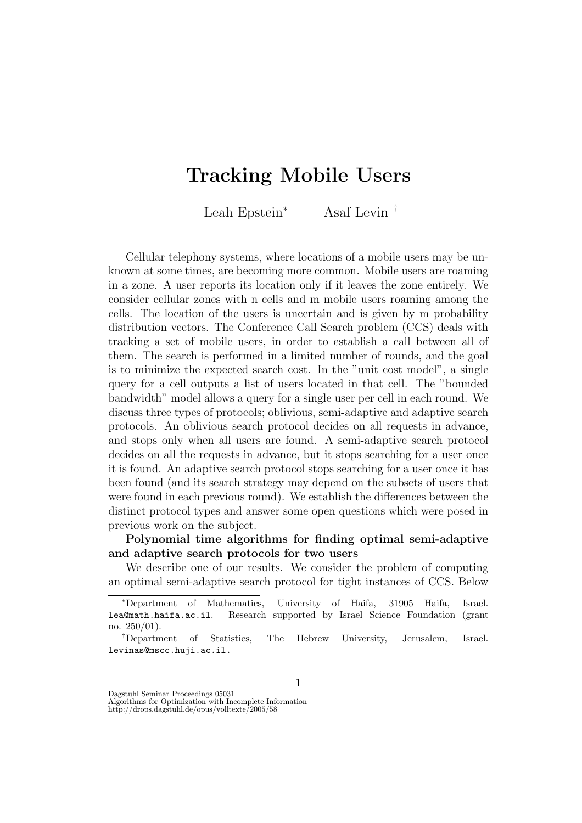## Tracking Mobile Users

Leah Epstein<sup>∗</sup> Asaf Levin †

Cellular telephony systems, where locations of a mobile users may be unknown at some times, are becoming more common. Mobile users are roaming in a zone. A user reports its location only if it leaves the zone entirely. We consider cellular zones with n cells and m mobile users roaming among the cells. The location of the users is uncertain and is given by m probability distribution vectors. The Conference Call Search problem (CCS) deals with tracking a set of mobile users, in order to establish a call between all of them. The search is performed in a limited number of rounds, and the goal is to minimize the expected search cost. In the "unit cost model", a single query for a cell outputs a list of users located in that cell. The "bounded bandwidth" model allows a query for a single user per cell in each round. We discuss three types of protocols; oblivious, semi-adaptive and adaptive search protocols. An oblivious search protocol decides on all requests in advance, and stops only when all users are found. A semi-adaptive search protocol decides on all the requests in advance, but it stops searching for a user once it is found. An adaptive search protocol stops searching for a user once it has been found (and its search strategy may depend on the subsets of users that were found in each previous round). We establish the differences between the distinct protocol types and answer some open questions which were posed in previous work on the subject.

## Polynomial time algorithms for finding optimal semi-adaptive and adaptive search protocols for two users

We describe one of our results. We consider the problem of computing an optimal semi-adaptive search protocol for tight instances of CCS. Below

1

Dagstuhl Seminar Proceedings 05031

Algorithms for Optimization with Incomplete Information http://drops.dagstuhl.de/opus/volltexte/2005/58

<sup>∗</sup>Department of Mathematics, University of Haifa, 31905 Haifa, Israel. lea@math.haifa.ac.il. Research supported by Israel Science Foundation (grant no. 250/01).

<sup>†</sup>Department of Statistics, The Hebrew University, Jerusalem, Israel. levinas@mscc.huji.ac.il.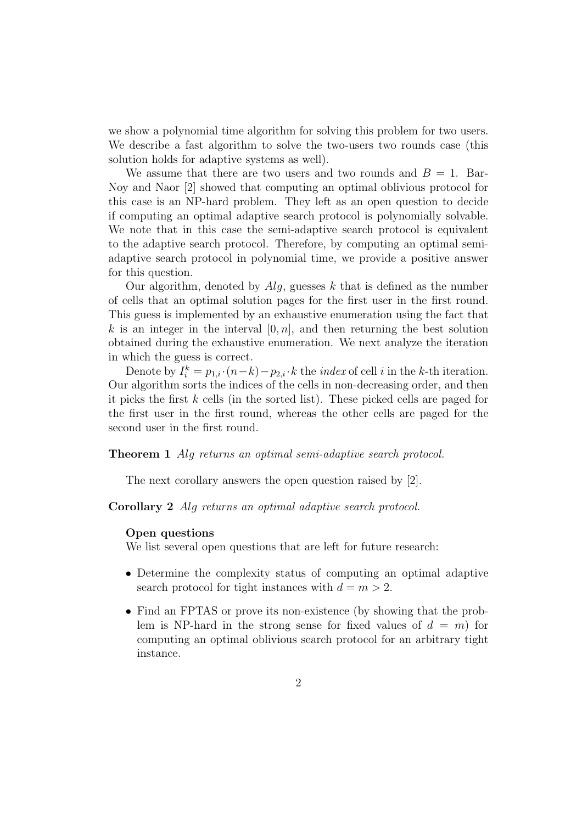we show a polynomial time algorithm for solving this problem for two users. We describe a fast algorithm to solve the two-users two rounds case (this solution holds for adaptive systems as well).

We assume that there are two users and two rounds and  $B = 1$ . Bar-Noy and Naor [2] showed that computing an optimal oblivious protocol for this case is an NP-hard problem. They left as an open question to decide if computing an optimal adaptive search protocol is polynomially solvable. We note that in this case the semi-adaptive search protocol is equivalent to the adaptive search protocol. Therefore, by computing an optimal semiadaptive search protocol in polynomial time, we provide a positive answer for this question.

Our algorithm, denoted by  $Alg$ , guesses k that is defined as the number of cells that an optimal solution pages for the first user in the first round. This guess is implemented by an exhaustive enumeration using the fact that k is an integer in the interval  $[0, n]$ , and then returning the best solution obtained during the exhaustive enumeration. We next analyze the iteration in which the guess is correct.

Denote by  $I_i^k = p_{1,i} \cdot (n-k) - p_{2,i} \cdot k$  the *index* of cell *i* in the *k*-th iteration. Our algorithm sorts the indices of the cells in non-decreasing order, and then it picks the first  $k$  cells (in the sorted list). These picked cells are paged for the first user in the first round, whereas the other cells are paged for the second user in the first round.

Theorem 1 Alg returns an optimal semi-adaptive search protocol.

The next corollary answers the open question raised by [2].

Corollary 2 Alg returns an optimal adaptive search protocol.

## Open questions

We list several open questions that are left for future research:

- Determine the complexity status of computing an optimal adaptive search protocol for tight instances with  $d = m > 2$ .
- Find an FPTAS or prove its non-existence (by showing that the problem is NP-hard in the strong sense for fixed values of  $d = m$  for computing an optimal oblivious search protocol for an arbitrary tight instance.